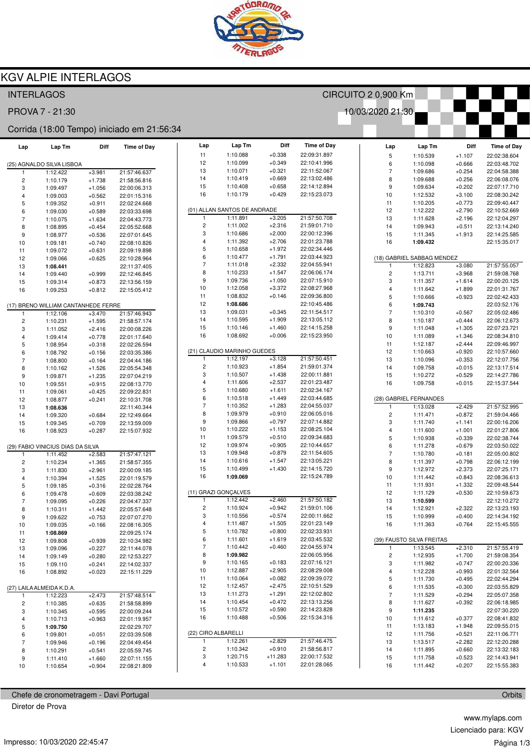

## **KGV ALPIE INTERLAGOS**

| <b>INTERLAGOS</b>                          |                           |                      |                              |                                |                              |                      | CIRCUITO 2 0,900 Km          |                          |                            |                      |                              |
|--------------------------------------------|---------------------------|----------------------|------------------------------|--------------------------------|------------------------------|----------------------|------------------------------|--------------------------|----------------------------|----------------------|------------------------------|
| PROVA 7 - 21:30<br>10/03/2020 21:30        |                           |                      |                              |                                |                              |                      |                              |                          |                            |                      |                              |
| Corrida (18:00 Tempo) iniciado em 21:56:34 |                           |                      |                              |                                |                              |                      |                              |                          |                            |                      |                              |
| Lap                                        | Lap Tm                    | Diff                 | <b>Time of Day</b>           | Lap                            | Lap Tm                       | Diff                 | <b>Time of Day</b>           | Lap                      | Lap Tm                     | Diff                 | <b>Time of Day</b>           |
|                                            |                           |                      |                              | 11                             | 1:10.088                     | $+0.338$             | 22:09:31.897                 | $\sqrt{5}$               | 1:10.539                   | $+1.107$             | 22:02:38.604                 |
|                                            | (25) AGNALDO SILVA LISBOA |                      |                              | 12                             | 1:10.099                     | $+0.349$             | 22:10:41.996                 | 6                        | 1:10.098                   | $+0.666$             | 22:03:48.702                 |
| 1                                          | 1:12.422                  | $+3.981$             | 21:57:46.637                 | 13                             | 1:10.071                     | $+0.321$             | 22:11:52.067                 | $\overline{7}$           | 1:09.686                   | $+0.254$             | 22:04:58.388                 |
| 2                                          | 1:10.179                  | $+1.738$             | 21:58:56.816                 | 14                             | 1:10.419                     | $+0.669$             | 22:13:02.486                 | 8                        | 1:09.688                   | $+0.256$             | 22:06:08.076                 |
| 3                                          | 1:09.497                  | $+1.056$             | 22:00:06.313                 | 15<br>16                       | 1:10.408<br>1:10.179         | $+0.658$<br>$+0.429$ | 22:14:12.894<br>22:15:23.073 | 9                        | 1:09.634                   | $+0.202$             | 22:07:17.710                 |
| 4                                          | 1:09.003                  | $+0.562$             | 22:01:15.316                 |                                |                              |                      |                              | 10<br>11                 | 1:12.532<br>1:10.205       | $+3.100$             | 22:08:30.242                 |
| 5                                          | 1:09.352                  | $+0.911$             | 22:02:24.668                 |                                | (01) ALLAN SANTOS DE ANDRADE |                      |                              | 12                       | 1:12.222                   | $+0.773$<br>$+2.790$ | 22:09:40.447<br>22:10:52.669 |
| 6<br>$\overline{7}$                        | 1:09.030<br>1:10.075      | $+0.589$<br>$+1.634$ | 22:03:33.698<br>22:04:43.773 | 1                              | 1:11.891                     | $+3.205$             | 21:57:50.708                 | 13                       | 1:11.628                   | $+2.196$             | 22:12:04.297                 |
| 8                                          | 1:08.895                  | $+0.454$             | 22:05:52.668                 | $\overline{c}$                 | 1:11.002                     | $+2.316$             | 21:59:01.710                 | 14                       | 1:09.943                   | $+0.511$             | 22:13:14.240                 |
| 9                                          | 1:08.977                  | $+0.536$             | 22:07:01.645                 | 3                              | 1:10.686                     | $+2.000$             | 22:00:12.396                 | 15                       | 1:11.345                   | $+1.913$             | 22:14:25.585                 |
| 10                                         | 1:09.181                  | $+0.740$             | 22:08:10.826                 | $\overline{\mathbf{4}}$        | 1:11.392                     | $+2.706$             | 22:01:23.788                 | 16                       | 1:09.432                   |                      | 22:15:35.017                 |
| 11                                         | 1:09.072                  | $+0.631$             | 22:09:19.898                 | 5                              | 1:10.658                     | $+1.972$             | 22:02:34.446                 |                          |                            |                      |                              |
| 12                                         | 1:09.066                  | $+0.625$             | 22:10:28.964                 | 6                              | 1:10.477                     | $+1.791$             | 22:03:44.923                 |                          | (18) GABRIEL SABBAG MENDEZ |                      |                              |
| 13                                         | 1:08.441                  |                      | 22:11:37.405                 | $\overline{7}$                 | 1:11.018                     | $+2.332$             | 22:04:55.941                 | 1                        | 1:12.823                   | $+3.080$             | 21:57:55.057                 |
| 14                                         | 1:09.440                  | $+0.999$             | 22:12:46.845                 | 8                              | 1:10.233                     | $+1.547$             | 22:06:06.174                 | $\mathsf{2}\,$           | 1:13.711                   | $+3.968$             | 21:59:08.768                 |
| 15                                         | 1:09.314                  | $+0.873$             | 22:13:56.159                 | 9                              | 1:09.736                     | $+1.050$             | 22:07:15.910                 | 3                        | 1:11.357                   | $+1.614$             | 22:00:20.125                 |
| 16                                         | 1:09.253                  | $+0.812$             | 22:15:05.412                 | 10                             | 1:12.058                     | $+3.372$             | 22:08:27.968                 | $\overline{4}$           | 1:11.642                   | $+1.899$             | 22:01:31.767                 |
|                                            |                           |                      |                              | 11                             | 1:08.832                     | $+0.146$             | 22:09:36.800                 | $\mathbf 5$              | 1:10.666                   | $+0.923$             | 22:02:42.433                 |
| (17) BRENO WILLIAM CANTANHEDE FERRE        |                           |                      | 12                           | 1:08.686                       |                              | 22:10:45.486         | 6                            | 1:09.743                 |                            | 22:03:52.176         |                              |
| $\mathbf{1}$                               | 1:12.106                  | $+3.470$             | 21:57:46.943                 | 13                             | 1:09.031                     | $+0.345$             | 22:11:54.517                 | $\overline{\mathcal{I}}$ | 1:10.310                   | $+0.567$             | 22:05:02.486                 |
| $\overline{\mathbf{c}}$                    | 1:10.231                  | $+1.595$             | 21:58:57.174                 | 14                             | 1:10.595                     | $+1.909$             | 22:13:05.112                 | 8                        | 1:10.187                   | $+0.444$             | 22:06:12.673                 |
| 3                                          | 1:11.052                  | $+2.416$             | 22:00:08.226                 | 15                             | 1:10.146                     | $+1.460$             | 22:14:15.258                 | 9                        | 1:11.048                   | $+1.305$             | 22:07:23.721                 |
| 4                                          | 1:09.414                  | $+0.778$             | 22:01:17.640                 | 16                             | 1:08.692                     | $+0.006$             | 22:15:23.950                 | 10                       | 1:11.089                   | $+1.346$             | 22:08:34.810                 |
| 5                                          | 1:08.954                  | $+0.318$             | 22:02:26.594                 |                                | (21) CLAUDIO MARINHO GUEDES  |                      |                              | 11<br>12                 | 1:12.187                   | $+2.444$             | 22:09:46.997                 |
| 6                                          | 1:08.792                  | $+0.156$             | 22:03:35.386                 | 1                              | 1:12.197                     | $+3.128$             | 21:57:50.451                 | 13                       | 1:10.663<br>1:10.096       | $+0.920$             | 22:10:57.660                 |
| 7                                          | 1:08.800                  | $+0.164$             | 22:04:44.186                 | $\overline{\mathbf{c}}$        | 1:10.923                     | $+1.854$             | 21:59:01.374                 | 14                       | 1:09.758                   | $+0.353$<br>$+0.015$ | 22:12:07.756<br>22:13:17.514 |
| 8<br>9                                     | 1:10.162<br>1:09.871      | $+1.526$<br>$+1.235$ | 22:05:54.348<br>22:07:04.219 | 3                              | 1:10.507                     | $+1.438$             | 22:00:11.881                 | 15                       | 1:10.272                   | $+0.529$             | 22:14:27.786                 |
| 10                                         | 1:09.551                  | $+0.915$             | 22:08:13.770                 | $\overline{4}$                 | 1:11.606                     | $+2.537$             | 22:01:23.487                 | 16                       | 1:09.758                   | $+0.015$             | 22:15:37.544                 |
| 11                                         | 1:09.061                  | $+0.425$             | 22:09:22.831                 | 5                              | 1:10.680                     | $+1.611$             | 22:02:34.167                 |                          |                            |                      |                              |
| 12                                         | 1:08.877                  | $+0.241$             | 22:10:31.708                 | 6                              | 1:10.518                     | $+1.449$             | 22:03:44.685                 |                          | (28) GABRIEL FERNANDES     |                      |                              |
| 13                                         | 1:08.636                  |                      | 22:11:40.344                 | $\overline{7}$                 | 1:10.352                     | $+1.283$             | 22:04:55.037                 | 1                        | 1:13.028                   | $+2.429$             | 21:57:52.995                 |
| 14                                         | 1:09.320                  | $+0.684$             | 22:12:49.664                 | 8                              | 1:09.979                     | $+0.910$             | 22:06:05.016                 | $\sqrt{2}$               | 1:11.471                   | $+0.872$             | 21:59:04.466                 |
| 15                                         | 1:09.345                  | $+0.709$             | 22:13:59.009                 | $\boldsymbol{9}$               | 1:09.866                     | $+0.797$             | 22:07:14.882                 | 3                        | 1:11.740                   | $+1.141$             | 22:00:16.206                 |
| 16                                         | 1:08.923                  | $+0.287$             | 22:15:07.932                 | 10                             | 1:10.222                     | $+1.153$             | 22:08:25.104                 | $\overline{4}$           | 1:11.600                   | $+1.001$             | 22:01:27.806                 |
|                                            |                           |                      |                              | 11                             | 1:09.579                     | $+0.510$             | 22:09:34.683                 | 5                        | 1:10.938                   | $+0.339$             | 22:02:38.744                 |
| (29) FABIO VINICIUS DIAS DA SILVA          |                           |                      | 12                           | 1:09.974                       | $+0.905$                     | 22:10:44.657         | 6                            | 1:11.278                 | $+0.679$                   | 22:03:50.022         |                              |
| 1                                          | 1:11.452                  | $+2.583$             | 21:57:47.121                 | 13                             | 1:09.948                     | $+0.879$             | 22:11:54.605                 | $\overline{7}$           | 1:10.780                   | $+0.181$             | 22:05:00.802                 |
| 2                                          | 1:10.234                  | $+1.365$             | 21:58:57.355                 | 14                             | 1:10.616                     | $+1.547$             | 22:13:05.221                 | 8                        | 1:11.397                   | $+0.798$             | 22:06:12.199                 |
| 3                                          | 1:11.830                  | $+2.961$             | 22:00:09.185                 | 15                             | 1:10.499                     | $+1.430$             | 22:14:15.720                 | $\boldsymbol{9}$         | 1:12.972                   | $+2.373$             | 22:07:25.171                 |
| 4                                          | 1:10.394                  | $+1.525$             | 22:01:19.579                 | 16                             | 1:09.069                     |                      | 22:15:24.789                 | 10                       | 1:11.442                   | $+0.843$             | 22:08:36.613                 |
| 5                                          | 1:09.185                  | $+0.316$             | 22:02:28.764                 |                                | (11) GRAZI GONÇALVES         |                      |                              | 11                       | 1:11.931                   | $+1.332$             | 22:09:48.544                 |
| 6                                          | 1:09.478                  | $+0.609$             | 22:03:38.242                 | 1                              | 1:12.442                     | $+2.460$             | 21:57:50.182                 | 12                       | 1:11.129                   | $+0.530$             | 22:10:59.673                 |
| $\overline{7}$                             | 1:09.095                  | $+0.226$             | 22:04:47.337<br>22:05:57.648 | $\overline{\mathbf{c}}$        | 1:10.924                     | $+0.942$             | 21:59:01.106                 | 13<br>14                 | 1:10.599<br>1:12.921       | $+2.322$             | 22:12:10.272<br>22:13:23.193 |
| 8<br>9                                     | 1:10.311<br>1:09.622      | $+1.442$<br>$+0.753$ | 22:07:07.270                 | 3                              | 1:10.556                     | $+0.574$             | 22:00:11.662                 | 15                       | 1:10.999                   | $+0.400$             | 22:14:34.192                 |
| 10                                         | 1:09.035                  | $+0.166$             | 22:08:16.305                 | 4                              | 1:11.487                     | $+1.505$             | 22:01:23.149                 | 16                       | 1:11.363                   | $+0.764$             | 22:15:45.555                 |
| 11                                         | 1:08.869                  |                      | 22:09:25.174                 | 5                              | 1:10.782                     | $+0.800$             | 22:02:33.931                 |                          |                            |                      |                              |
| 12                                         | 1:09.808                  | $+0.939$             | 22:10:34.982                 | 6                              | 1:11.601                     | $+1.619$             | 22:03:45.532                 |                          | (39) FAUSTO SILVA FREITAS  |                      |                              |
| 13                                         | 1:09.096                  | $+0.227$             | 22:11:44.078                 | $\overline{7}$                 | 1:10.442                     | $+0.460$             | 22:04:55.974                 | $\mathbf{1}$             | 1:13.545                   | $+2.310$             | 21:57:55.419                 |
| 14                                         | 1:09.149                  | $+0.280$             | 22:12:53.227                 | 8                              | 1:09.982                     |                      | 22:06:05.956                 | $\overline{c}$           | 1:12.935                   | $+1.700$             | 21:59:08.354                 |
| 15                                         | 1:09.110                  | $+0.241$             | 22:14:02.337                 | 9                              | 1:10.165                     | $+0.183$             | 22:07:16.121                 | 3                        | 1:11.982                   | $+0.747$             | 22:00:20.336                 |
| 16                                         | 1:08.892                  | $+0.023$             | 22:15:11.229                 | 10                             | 1:12.887                     | $+2.905$             | 22:08:29.008                 | 4                        | 1:12.228                   | $+0.993$             | 22:01:32.564                 |
|                                            |                           |                      |                              | 11                             | 1:10.064                     | $+0.082$             | 22:09:39.072                 | 5                        | 1:11.730                   | $+0.495$             | 22:02:44.294                 |
| (27) LAILA ALMEIDA K.D.A.                  |                           |                      |                              | 12                             | 1:12.457                     | $+2.475$             | 22:10:51.529                 | 6                        | 1:11.535                   | $+0.300$             | 22:03:55.829                 |
| $\mathbf{1}$                               | 1:12.223                  | $+2.473$             | 21:57:48.514                 | 13                             | 1:11.273                     | $+1.291$             | 22:12:02.802                 | $\sqrt{7}$               | 1:11.529                   | $+0.294$             | 22:05:07.358                 |
| 2                                          | 1:10.385                  | $+0.635$             | 21:58:58.899                 | 14                             | 1:10.454                     | $+0.472$             | 22:13:13.256                 | 8                        | 1:11.627                   | $+0.392$             | 22:06:18.985                 |
| 3                                          | 1:10.345                  | $+0.595$             | 22:00:09.244                 | 15                             | 1:10.572                     | $+0.590$             | 22:14:23.828                 | 9                        | 1:11.235                   |                      | 22:07:30.220                 |
| 4                                          | 1:10.713                  | $+0.963$             | 22:01:19.957                 | 16                             | 1:10.488                     | $+0.506$             | 22:15:34.316                 | 10                       | 1:11.612                   | $+0.377$             | 22:08:41.832                 |
| 5                                          | 1:09.750                  |                      | 22:02:29.707                 |                                |                              |                      |                              | 11                       | 1:13.183                   | $+1.948$             | 22:09:55.015                 |
| 6                                          | 1:09.801                  | $+0.051$             | 22:03:39.508                 |                                | (22) CIRO ALBARELLI          | $+2.829$             | 21:57:46.475                 | 12                       | 1:11.756                   | $+0.521$             | 22:11:06.771                 |
| 7                                          | 1:09.946                  | $+0.196$             | 22:04:49.454                 | $\mathbf{1}$<br>$\overline{c}$ | 1:12.261                     | $+0.910$             |                              | 13                       | 1:13.517                   | $+2.282$             | 22:12:20.288                 |
| 8                                          | 1:10.291                  | $+0.541$             | 22:05:59.745                 | 3                              | 1:10.342<br>1:20.715         | $+11.283$            | 21:58:56.817<br>22:00:17.532 | 14                       | 1:11.895<br>1:11.758       | $+0.660$             | 22:13:32.183                 |
| 9                                          | 1:11.410                  | $+1.660$             | 22:07:11.155                 | $\overline{4}$                 | 1:10.533                     | $+1.101$             | 22:01:28.065                 | 15<br>16                 | 1:11.442                   | $+0.523$<br>$+0.207$ | 22:14:43.941<br>22:15:55.383 |
| 10                                         | 1:10.654                  | $+0.904$             | 22:08:21.809                 |                                |                              |                      |                              |                          |                            |                      |                              |

Chefe de cronometragem - Davi Portugal Diretor de Prova

www.mylaps.com

Impresso: 10/03/2020 22:45:47

Orbits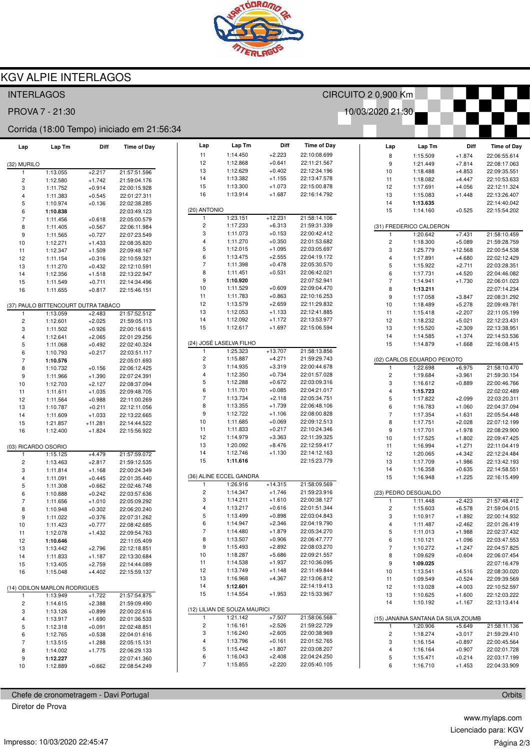

## **KGV ALPIE INTERLAGOS**

| <b>INTERLAGOS</b>                          |                                     |                      |                              |                         |                              |                      |                              | CIRCUITO 2 0,900 Km |                          |                                         |                      |                              |
|--------------------------------------------|-------------------------------------|----------------------|------------------------------|-------------------------|------------------------------|----------------------|------------------------------|---------------------|--------------------------|-----------------------------------------|----------------------|------------------------------|
| PROVA 7 - 21:30<br>10/03/2020 21:30        |                                     |                      |                              |                         |                              |                      |                              |                     |                          |                                         |                      |                              |
| Corrida (18:00 Tempo) iniciado em 21:56:34 |                                     |                      |                              |                         |                              |                      |                              |                     |                          |                                         |                      |                              |
| Lap                                        | Lap Tm                              | Diff                 | <b>Time of Day</b>           | Lap                     | Lap Tm                       | Diff                 | <b>Time of Day</b>           |                     | Lap                      | Lap Tm                                  | Diff                 | <b>Time of Day</b>           |
|                                            |                                     |                      |                              | 11                      | 1:14.450                     | $+2.223$             | 22:10:08.699                 |                     | 8                        | 1:15.509                                | $+1.874$             | 22:06:55.614                 |
| (32) MURILO                                |                                     |                      |                              | 12                      | 1:12.868                     | $+0.641$             | 22:11:21.567                 |                     | $\boldsymbol{9}$         | 1:21.449                                | $+7.814$             | 22:08:17.063                 |
| 1                                          | 1:13.055                            | $+2.217$             | 21:57:51.596                 | 13                      | 1:12.629                     | $+0.402$             | 22:12:34.196                 |                     | 10                       | 1:18.488                                | $+4.853$             | 22:09:35.551                 |
| 2                                          | 1:12.580                            | $+1.742$             | 21:59:04.176                 | 14                      | 1:13.382                     | $+1.155$             | 22:13:47.578                 |                     | 11                       | 1:18.082                                | $+4.447$             | 22:10:53.633                 |
| 3                                          | 1:11.752                            | $+0.914$             | 22:00:15.928                 | 15                      | 1:13.300                     | $+1.073$             | 22:15:00.878<br>22:16:14.792 |                     | 12                       | 1:17.691                                | $+4.056$             | 22:12:11.324                 |
| 4                                          | 1:11.383                            | $+0.545$             | 22:01:27.311                 | 16                      | 1:13.914                     | $+1.687$             |                              |                     | 13                       | 1:15.083                                | $+1.448$             | 22:13:26.407                 |
| 5                                          | 1:10.974                            | $+0.136$             | 22:02:38.285                 | (20) ANTONIO            |                              |                      |                              |                     | 14<br>15                 | 1:13.635<br>1:14.160                    |                      | 22:14:40.042<br>22:15:54.202 |
| 6<br>$\overline{\mathcal{I}}$              | 1:10.838                            |                      | 22:03:49.123<br>22:05:00.579 | 1                       | 1:23.151                     | $+12.231$            | 21:58:14.106                 |                     |                          |                                         | $+0.525$             |                              |
| 8                                          | 1:11.456<br>1:11.405                | $+0.618$<br>$+0.567$ | 22:06:11.984                 | $\overline{\mathbf{c}}$ | 1:17.233                     | $+6.313$             | 21:59:31.339                 |                     |                          | (31) FREDERICO CALDERON                 |                      |                              |
| 9                                          | 1:11.565                            | $+0.727$             | 22:07:23.549                 | 3                       | 1:11.073                     | $+0.153$             | 22:00:42.412                 |                     | $\mathbf{1}$             | 1:20.642                                | $+7.431$             | 21:58:10.459                 |
| 10                                         | 1:12.271                            | $+1.433$             | 22:08:35.820                 | $\overline{\mathbf{4}}$ | 1:11.270                     | $+0.350$             | 22:01:53.682                 |                     | $\sqrt{2}$               | 1:18.300                                | $+5.089$             | 21:59:28.759                 |
| 11                                         | 1:12.347                            | $+1.509$             | 22:09:48.167                 | 5                       | 1:12.015                     | $+1.095$             | 22:03:05.697                 |                     | 3                        | 1:25.779                                | $+12.568$            | 22:00:54.538                 |
| 12                                         | 1:11.154                            | $+0.316$             | 22:10:59.321                 | 6                       | 1:13.475                     | $+2.555$             | 22:04:19.172                 |                     | $\overline{\mathbf{4}}$  | 1:17.891                                | $+4.680$             | 22:02:12.429                 |
| 13                                         | 1:11.270                            | $+0.432$             | 22:12:10.591                 | $\overline{7}$          | 1:11.398                     | $+0.478$             | 22:05:30.570                 |                     | 5                        | 1:15.922                                | $+2.711$             | 22:03:28.351                 |
| 14                                         | 1:12.356                            | $+1.518$             | 22:13:22.947                 | 8                       | 1:11.451                     | $+0.531$             | 22:06:42.021                 |                     | 6                        | 1:17.731                                | $+4.520$             | 22:04:46.082                 |
| 15                                         | 1:11.549                            | $+0.711$             | 22:14:34.496                 | 9                       | 1:10.920                     |                      | 22:07:52.941                 |                     | $\overline{\phantom{a}}$ | 1:14.941                                | $+1.730$             | 22:06:01.023                 |
| 16                                         | 1:11.655                            | $+0.817$             | 22:15:46.151                 | 10                      | 1:11.529                     | $+0.609$             | 22:09:04.470                 |                     | 8                        | 1:13.211                                |                      | 22:07:14.234                 |
|                                            |                                     |                      |                              | 11                      | 1:11.783                     | $+0.863$             | 22:10:16.253                 |                     | $\boldsymbol{9}$         | 1:17.058                                | $+3.847$             | 22:08:31.292                 |
|                                            | (37) PAULO BITTENCOURT DUTRA TABACO |                      |                              | 12                      | 1:13.579                     | $+2.659$             | 22:11:29.832                 |                     | 10                       | 1:18.489                                | $+5.278$             | 22:09:49.781                 |
| $\mathbf{1}$                               | 1:13.059                            | $+2.483$             | 21:57:52.512                 | 13                      | 1:12.053                     | $+1.133$             | 22:12:41.885                 |                     | 11                       | 1:15.418                                | $+2.207$             | 22:11:05.199                 |
| $\overline{\mathbf{c}}$                    | 1:12.601                            | $+2.025$             | 21:59:05.113                 | 14                      | 1:12.092                     | $+1.172$             | 22:13:53.977                 |                     | 12                       | 1:18.232                                | $+5.021$             | 22:12:23.431                 |
| 3                                          | 1:11.502                            | $+0.926$             | 22:00:16.615                 | 15                      | 1:12.617                     | $+1.697$             | 22:15:06.594                 |                     | 13                       | 1:15.520                                | $+2.309$             | 22:13:38.951                 |
| 4                                          | 1:12.641                            | $+2.065$             | 22:01:29.256                 |                         |                              |                      |                              |                     | 14                       | 1:14.585                                | $+1.374$             | 22:14:53.536                 |
| 5                                          | 1:11.068                            | $+0.492$             | 22:02:40.324                 | 1                       | (24) JOSÉ LASELVA FILHO      | $+13.707$            |                              |                     | 15                       | 1:14.879                                | $+1.668$             | 22:16:08.415                 |
| 6                                          | 1:10.793                            | $+0.217$             | 22:03:51.117                 | $\overline{\mathbf{c}}$ | 1:25.323<br>1:15.887         | $+4.271$             | 21:58:13.856<br>21:59:29.743 |                     |                          |                                         |                      |                              |
| 7                                          | 1:10.576                            |                      | 22:05:01.693                 | 3                       | 1:14.935                     | $+3.319$             | 22:00:44.678                 |                     | 1                        | (02) CARLOS EDUARDO PEIXOTO<br>1:22.698 | $+6.975$             | 21:58:10.470                 |
| 8                                          | 1:10.732                            | $+0.156$             | 22:06:12.425                 | $\overline{\mathbf{4}}$ | 1:12.350                     | $+0.734$             | 22:01:57.028                 |                     | $\sqrt{2}$               | 1:19.684                                | $+3.961$             | 21:59:30.154                 |
| 9                                          | 1:11.966                            | $+1.390$             | 22:07:24.391                 | 5                       | 1:12.288                     | $+0.672$             | 22:03:09.316                 |                     | 3                        | 1:16.612                                | $+0.889$             | 22:00:46.766                 |
| 10<br>11                                   | 1:12.703<br>1:11.611                | $+2.127$<br>$+1.035$ | 22:08:37.094                 | 6                       | 1:11.701                     | $+0.085$             | 22:04:21.017                 |                     | $\pmb{4}$                | 1:15.723                                |                      | 22:02:02.489                 |
| 12                                         | 1:11.564                            | $+0.988$             | 22:09:48.705<br>22:11:00.269 | $\overline{7}$          | 1:13.734                     | $+2.118$             | 22:05:34.751                 |                     | 5                        | 1:17.822                                | $+2.099$             | 22:03:20.311                 |
| 13                                         | 1:10.787                            | $+0.211$             | 22:12:11.056                 | 8                       | 1:13.355                     | $+1.739$             | 22:06:48.106                 |                     | 6                        | 1:16.783                                | $+1.060$             | 22:04:37.094                 |
| 14                                         | 1:11.609                            | $+1.033$             | 22:13:22.665                 | 9                       | 1:12.722                     | $+1.106$             | 22:08:00.828                 |                     | $\overline{\phantom{a}}$ | 1:17.354                                | $+1.631$             | 22:05:54.448                 |
| 15                                         | 1:21.857                            | $+11.281$            | 22:14:44.522                 | 10                      | 1:11.685                     | $+0.069$             | 22:09:12.513                 |                     | 8                        | 1:17.751                                | $+2.028$             | 22:07:12.199                 |
| 16                                         | 1:12.400                            | $+1.824$             | 22:15:56.922                 | 11                      | 1:11.833                     | $+0.217$             | 22:10:24.346                 |                     | $\boldsymbol{9}$         | 1:17.701                                | $+1.978$             | 22:08:29.900                 |
|                                            |                                     |                      |                              | 12                      | 1:14.979                     | $+3.363$             | 22:11:39.325                 |                     | 10                       | 1:17.525                                | $+1.802$             | 22:09:47.425                 |
| (03) RICARDO OSORIO                        |                                     |                      |                              | 13                      | 1:20.092                     | $+8.476$             | 22:12:59.417                 |                     | 11                       | 1:16.994                                | $+1.271$             | 22:11:04.419                 |
| 1                                          | 1:15.125                            | $+4.479$             | 21:57:59.072                 | 14                      | 1:12.746                     | $+1.130$             | 22:14:12.163                 |                     | 12                       | 1:20.065                                | $+4.342$             | 22:12:24.484                 |
| 2                                          | 1:13.463                            | $+2.817$             | 21:59:12.535                 | 15                      | 1:11.616                     |                      | 22:15:23.779                 |                     | 13                       | 1:17.709                                | $+1.986$             | 22:13:42.193                 |
| 3                                          | 1:11.814                            | $+1.168$             | 22:00:24.349                 |                         |                              |                      |                              |                     | 14                       | 1:16.358                                | $+0.635$             | 22:14:58.551                 |
| 4                                          | 1:11.091                            | $+0.445$             | 22:01:35.440                 |                         | (36) ALINE ECCEL GANDRA      |                      |                              |                     | 15                       | 1:16.948                                | $+1.225$             | 22:16:15.499                 |
| 5                                          | 1:11.308                            | $+0.662$             | 22:02:46.748                 | 1                       | 1:26.916                     | $+14.315$            | 21:58:09.569                 |                     |                          |                                         |                      |                              |
| 6                                          | 1:10.888                            | $+0.242$             | 22:03:57.636                 | 2                       | 1:14.347                     | $+1.746$             | 21:59:23.916                 |                     |                          | (23) PEDRO DESGUALDO                    |                      |                              |
| $\overline{7}$                             | 1:11.656                            | $+1.010$             | 22:05:09.292                 | 3<br>4                  | 1:14.211<br>1:13.217         | $+1.610$<br>$+0.616$ | 22:00:38.127<br>22:01:51.344 |                     | 1                        | 1:11.448                                | $+2.423$             | 21:57:48.412                 |
| 8                                          | 1:10.948                            | $+0.302$             | 22:06:20.240                 | 5                       | 1:13.499                     | $+0.898$             | 22:03:04.843                 |                     | $\sqrt{2}$               | 1:15.603                                | $+6.578$             | 21:59:04.015                 |
| 9                                          | 1:11.022                            | $+0.376$             | 22:07:31.262                 | 6                       | 1:14.947                     | $+2.346$             | 22:04:19.790                 |                     | 3<br>$\overline{4}$      | 1:10.917                                | $+1.892$<br>$+2.462$ | 22:00:14.932<br>22:01:26.419 |
| 10                                         | 1:11.423                            | $+0.777$             | 22:08:42.685                 | $\overline{7}$          | 1:14.480                     | $+1.879$             | 22:05:34.270                 |                     | $\,$ 5 $\,$              | 1:11.487<br>1:11.013                    | $+1.988$             | 22:02:37.432                 |
| 11                                         | 1:12.078                            | $+1.432$             | 22:09:54.763                 | 8                       | 1:13.507                     | $+0.906$             | 22:06:47.777                 |                     | 6                        | 1:10.121                                | $+1.096$             | 22:03:47.553                 |
| 12<br>13                                   | 1:10.646<br>1:13.442                | $+2.796$             | 22:11:05.409<br>22:12:18.851 | 9                       | 1:15.493                     | $+2.892$             | 22:08:03.270                 |                     | $\sqrt{7}$               | 1:10.272                                | $+1.247$             | 22:04:57.825                 |
| 14                                         | 1:11.833                            | $+1.187$             | 22:13:30.684                 | 10                      | 1:18.287                     | $+5.686$             | 22:09:21.557                 |                     | 8                        | 1:09.629                                | $+0.604$             | 22:06:07.454                 |
| 15                                         | 1:13.405                            | $+2.759$             | 22:14:44.089                 | 11                      | 1:14.538                     | $+1.937$             | 22:10:36.095                 |                     | 9                        | 1:09.025                                |                      | 22:07:16.479                 |
| 16                                         | 1:15.048                            | $+4.402$             | 22:15:59.137                 | 12                      | 1:13.749                     | $+1.148$             | 22:11:49.844                 |                     | 10                       | 1:13.541                                | $+4.516$             | 22:08:30.020                 |
|                                            |                                     |                      |                              | 13                      | 1:16.968                     | $+4.367$             | 22:13:06.812                 |                     | 11                       | 1:09.549                                | $+0.524$             | 22:09:39.569                 |
| (14) ODILON MARLON RODRIGUES               |                                     |                      | 14                           | 1:12.601                |                              | 22:14:19.413         |                              | 12                  | 1:13.028                 | $+4.003$                                | 22:10:52.597         |                              |
| -1                                         | 1:13.949                            | $+1.722$             | 21:57:54.875                 | 15                      | 1:14.554                     | $+1.953$             | 22:15:33.967                 |                     | 13                       | 1:10.625                                | $+1.600$             | 22:12:03.222                 |
| 2                                          | 1:14.615                            | $+2.388$             | 21:59:09.490                 |                         |                              |                      |                              |                     | 14                       | 1:10.192                                | $+1.167$             | 22:13:13.414                 |
| 3                                          | 1:13.126                            | $+0.899$             | 22:00:22.616                 |                         | (12) LILIAN DE SOUZA MAURICI |                      |                              |                     |                          |                                         |                      |                              |
| 4                                          | 1:13.917                            | $+1.690$             | 22:01:36.533                 | 1                       | 1:21.142                     | $+7.507$             | 21:58:06.568                 |                     |                          | (15) JANAINA SANTANA DA SILVA ZOUMB     |                      |                              |
| 5                                          | 1:12.318                            | $+0.091$             | 22:02:48.851                 | $\overline{c}$          | 1:16.161                     | $+2.526$             | 21:59:22.729                 |                     | 1                        | 1:20.906                                | $+5.649$             | 21:58:11.136                 |
| 6                                          | 1:12.765                            | $+0.538$             | 22:04:01.616                 | 3                       | 1:16.240                     | $+2.605$             | 22:00:38.969                 |                     | $\sqrt{2}$               | 1:18.274                                | $+3.017$             | 21:59:29.410                 |
| 7                                          | 1:13.515                            | $+1.288$             | 22:05:15.131                 | 4                       | 1:13.796                     | $+0.161$             | 22:01:52.765                 |                     | 3                        | 1:16.154                                | $+0.897$             | 22:00:45.564                 |
| 8                                          | 1:14.002                            | $+1.775$             | 22:06:29.133                 | 5<br>6                  | 1:15.442                     | $+1.807$<br>$+2.408$ | 22:03:08.207                 |                     | 4                        | 1:16.164                                | $+0.907$             | 22:02:01.728                 |
| 9                                          | 1:12.227                            |                      | 22:07:41.360                 | $\overline{7}$          | 1:16.043<br>1:15.855         | $+2.220$             | 22:04:24.250<br>22:05:40.105 |                     | 5<br>6                   | 1:15.471                                | $+0.214$             | 22:03:17.199                 |
| 10                                         | 1:12.889                            | $+0.662$             | 22:08:54.249                 |                         |                              |                      |                              |                     |                          | 1:16.710                                | $+1.453$             | 22:04:33.909                 |

Chefe de cronometragem - Davi Portugal

Diretor de Prova

Orbits

Impresso: 10/03/2020 22:45:47